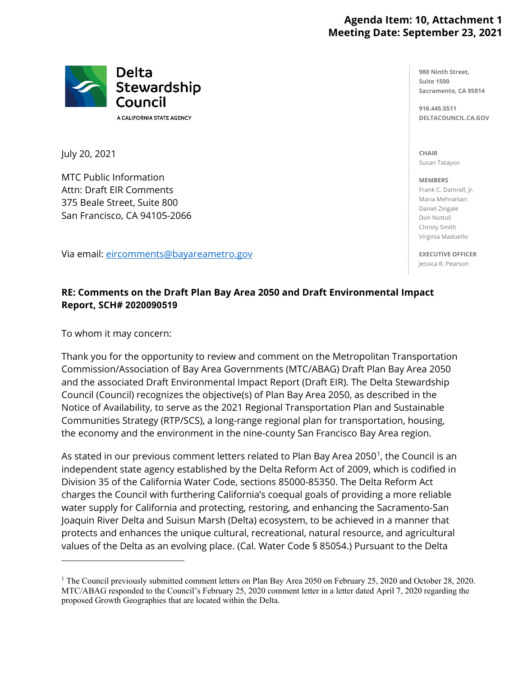#### **Agenda Item: 10, Attachment 1 Meeting Date: September 23, 2021**



July 20, 2021

MTC Public Information Attn: Draft EIR Comments 375 Beale Street, Suite 800 San Francisco, CA 94105-2066

Via email: [eircomments@bayareametro.gov](mailto:eircomments@bayareametro.gov)

**980 Ninth Street, Suite 1500 Sacramento, CA 95814**

**916.445.5511 DELTACOUNCIL.CA.GOV**

**CHAIR** Susan Tatayon

#### **MEMBERS**

Frank C. Damrell, Jr. Maria Mehranian Daniel Zingale Don Nottoli Christy Smith Virginia Madueño

**EXECUTIVE OFFICER** Jessica R. Pearson

### **RE: Comments on the Draft Plan Bay Area 2050 and Draft Environmental Impact Report, SCH# 2020090519**

To whom it may concern:

Thank you for the opportunity to review and comment on the Metropolitan Transportation Commission/Association of Bay Area Governments (MTC/ABAG) Draft Plan Bay Area 2050 and the associated Draft Environmental Impact Report (Draft EIR). The Delta Stewardship Council (Council) recognizes the objective(s) of Plan Bay Area 2050, as described in the Notice of Availability, to serve as the 2021 Regional Transportation Plan and Sustainable Communities Strategy (RTP/SCS), a long-range regional plan for transportation, housing, the economy and the environment in the nine-county San Francisco Bay Area region.

As stated in our previous comment letters related to Plan Bay Area 2050 $^1$  $^1$ , the Council is an independent state agency established by the Delta Reform Act of 2009, which is codified in Division 35 of the California Water Code, sections 85000-85350. The Delta Reform Act charges the Council with furthering California's coequal goals of providing a more reliable water supply for California and protecting, restoring, and enhancing the Sacramento-San Joaquin River Delta and Suisun Marsh (Delta) ecosystem, to be achieved in a manner that protects and enhances the unique cultural, recreational, natural resource, and agricultural values of the Delta as an evolving place. (Cal. Water Code § 85054.) Pursuant to the Delta

<span id="page-0-0"></span><sup>1</sup> The Council previously submitted comment letters on Plan Bay Area 2050 on February 25, 2020 and October 28, 2020. MTC/ABAG responded to the Council's February 25, 2020 comment letter in a letter dated April 7, 2020 regarding the proposed Growth Geographies that are located within the Delta.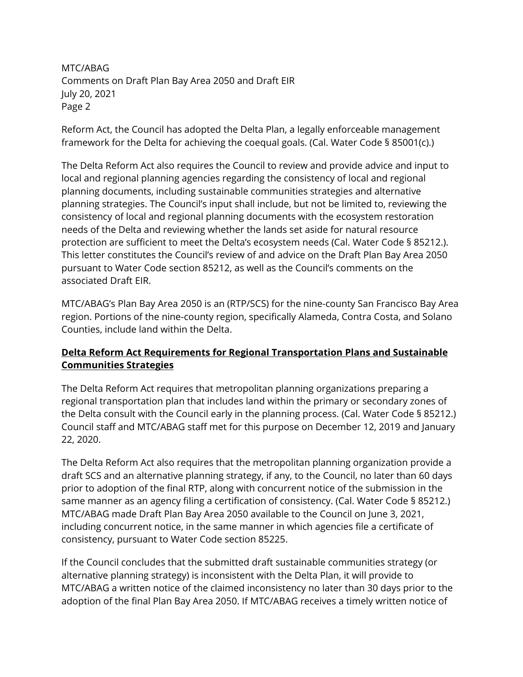Reform Act, the Council has adopted the Delta Plan, a legally enforceable management framework for the Delta for achieving the coequal goals. (Cal. Water Code § 85001(c).)

The Delta Reform Act also requires the Council to review and provide advice and input to local and regional planning agencies regarding the consistency of local and regional planning documents, including sustainable communities strategies and alternative planning strategies. The Council's input shall include, but not be limited to, reviewing the consistency of local and regional planning documents with the ecosystem restoration needs of the Delta and reviewing whether the lands set aside for natural resource protection are sufficient to meet the Delta's ecosystem needs (Cal. Water Code § 85212.). This letter constitutes the Council's review of and advice on the Draft Plan Bay Area 2050 pursuant to Water Code section 85212, as well as the Council's comments on the associated Draft EIR.

MTC/ABAG's Plan Bay Area 2050 is an (RTP/SCS) for the nine-county San Francisco Bay Area region. Portions of the nine-county region, specifically Alameda, Contra Costa, and Solano Counties, include land within the Delta.

# **Delta Reform Act Requirements for Regional Transportation Plans and Sustainable Communities Strategies**

The Delta Reform Act requires that metropolitan planning organizations preparing a regional transportation plan that includes land within the primary or secondary zones of the Delta consult with the Council early in the planning process. (Cal. Water Code § 85212.) Council staff and MTC/ABAG staff met for this purpose on December 12, 2019 and January 22, 2020.

The Delta Reform Act also requires that the metropolitan planning organization provide a draft SCS and an alternative planning strategy, if any, to the Council, no later than 60 days prior to adoption of the final RTP, along with concurrent notice of the submission in the same manner as an agency filing a certification of consistency. (Cal. Water Code § 85212.) MTC/ABAG made Draft Plan Bay Area 2050 available to the Council on June 3, 2021, including concurrent notice, in the same manner in which agencies file a certificate of consistency, pursuant to Water Code section 85225.

If the Council concludes that the submitted draft sustainable communities strategy (or alternative planning strategy) is inconsistent with the Delta Plan, it will provide to MTC/ABAG a written notice of the claimed inconsistency no later than 30 days prior to the adoption of the final Plan Bay Area 2050. If MTC/ABAG receives a timely written notice of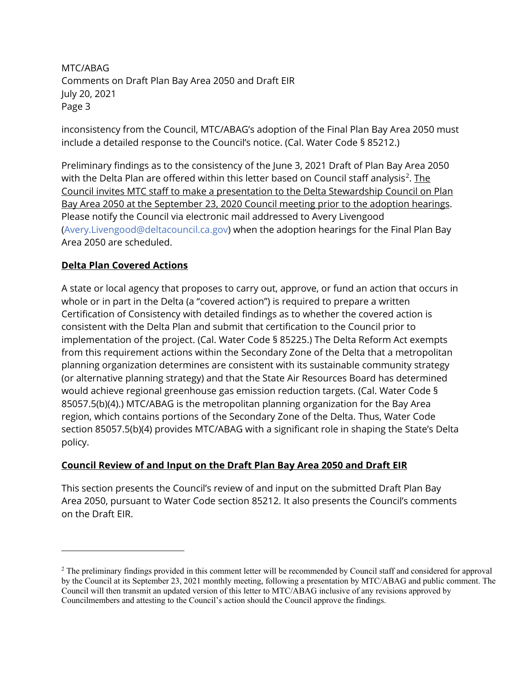inconsistency from the Council, MTC/ABAG's adoption of the Final Plan Bay Area 2050 must include a detailed response to the Council's notice. (Cal. Water Code § 85212.)

Preliminary findings as to the consistency of the June 3, 2021 Draft of Plan Bay Area 2050 with the Delta Plan are offered within this letter based on Council staff analysis $^2$  $^2$ . <u>The</u> Council invites MTC staff to make a presentation to the Delta Stewardship Council on Plan Bay Area 2050 at the September 23, 2020 Council meeting prior to the adoption hearings. Please notify the Council via electronic mail addressed to Avery Livengood [\(Avery.Livengood@deltacouncil.ca.gov\)](mailto:Avery.Livengood@deltacouncil.ca.gov) when the adoption hearings for the Final Plan Bay Area 2050 are scheduled.

# **Delta Plan Covered Actions**

A state or local agency that proposes to carry out, approve, or fund an action that occurs in whole or in part in the Delta (a "covered action") is required to prepare a written Certification of Consistency with detailed findings as to whether the covered action is consistent with the Delta Plan and submit that certification to the Council prior to implementation of the project. (Cal. Water Code § 85225.) The Delta Reform Act exempts from this requirement actions within the Secondary Zone of the Delta that a metropolitan planning organization determines are consistent with its sustainable community strategy (or alternative planning strategy) and that the State Air Resources Board has determined would achieve regional greenhouse gas emission reduction targets. (Cal. Water Code § 85057.5(b)(4).) MTC/ABAG is the metropolitan planning organization for the Bay Area region, which contains portions of the Secondary Zone of the Delta. Thus, Water Code section 85057.5(b)(4) provides MTC/ABAG with a significant role in shaping the State's Delta policy.

# **Council Review of and Input on the Draft Plan Bay Area 2050 and Draft EIR**

This section presents the Council's review of and input on the submitted Draft Plan Bay Area 2050, pursuant to Water Code section 85212. It also presents the Council's comments on the Draft EIR.

<span id="page-2-0"></span><sup>&</sup>lt;sup>2</sup> The preliminary findings provided in this comment letter will be recommended by Council staff and considered for approval by the Council at its September 23, 2021 monthly meeting, following a presentation by MTC/ABAG and public comment. The Council will then transmit an updated version of this letter to MTC/ABAG inclusive of any revisions approved by Councilmembers and attesting to the Council's action should the Council approve the findings.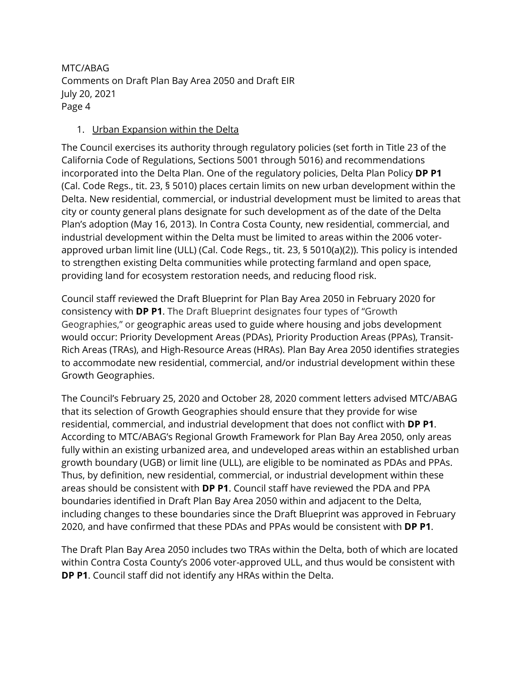### 1. Urban Expansion within the Delta

The Council exercises its authority through regulatory policies (set forth in Title 23 of the California Code of Regulations, Sections 5001 through 5016) and recommendations incorporated into the Delta Plan. One of the regulatory policies, Delta Plan Policy **DP P1** (Cal. Code Regs., tit. 23, § 5010) places certain limits on new urban development within the Delta. New residential, commercial, or industrial development must be limited to areas that city or county general plans designate for such development as of the date of the Delta Plan's adoption (May 16, 2013). In Contra Costa County, new residential, commercial, and industrial development within the Delta must be limited to areas within the 2006 voterapproved urban limit line (ULL) (Cal. Code Regs., tit. 23, § 5010(a)(2)). This policy is intended to strengthen existing Delta communities while protecting farmland and open space, providing land for ecosystem restoration needs, and reducing flood risk.

Council staff reviewed the Draft Blueprint for Plan Bay Area 2050 in February 2020 for consistency with **DP P1**. The Draft Blueprint designates four types of "Growth Geographies," or geographic areas used to guide where housing and jobs development would occur: Priority Development Areas (PDAs), Priority Production Areas (PPAs), Transit-Rich Areas (TRAs), and High-Resource Areas (HRAs). Plan Bay Area 2050 identifies strategies to accommodate new residential, commercial, and/or industrial development within these Growth Geographies.

The Council's February 25, 2020 and October 28, 2020 comment letters advised MTC/ABAG that its selection of Growth Geographies should ensure that they provide for wise residential, commercial, and industrial development that does not conflict with **DP P1**. According to MTC/ABAG's Regional Growth Framework for Plan Bay Area 2050, only areas fully within an existing urbanized area, and undeveloped areas within an established urban growth boundary (UGB) or limit line (ULL), are eligible to be nominated as PDAs and PPAs. Thus, by definition, new residential, commercial, or industrial development within these areas should be consistent with **DP P1**. Council staff have reviewed the PDA and PPA boundaries identified in Draft Plan Bay Area 2050 within and adjacent to the Delta, including changes to these boundaries since the Draft Blueprint was approved in February 2020, and have confirmed that these PDAs and PPAs would be consistent with **DP P1**.

The Draft Plan Bay Area 2050 includes two TRAs within the Delta, both of which are located within Contra Costa County's 2006 voter-approved ULL, and thus would be consistent with **DP P1**. Council staff did not identify any HRAs within the Delta.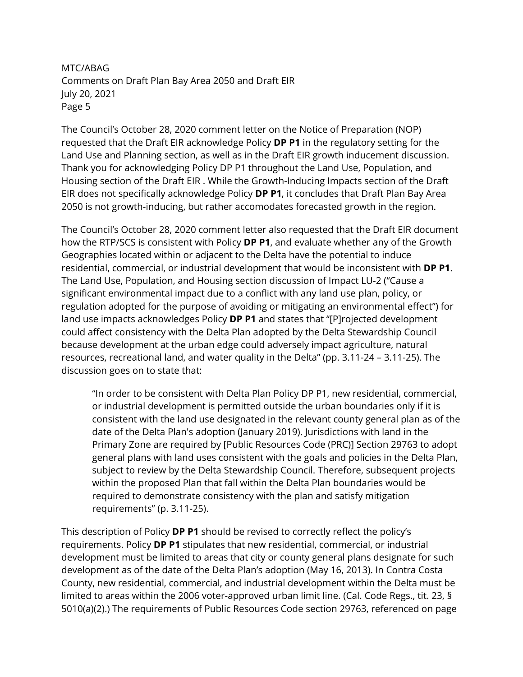The Council's October 28, 2020 comment letter on the Notice of Preparation (NOP) requested that the Draft EIR acknowledge Policy **DP P1** in the regulatory setting for the Land Use and Planning section, as well as in the Draft EIR growth inducement discussion. Thank you for acknowledging Policy DP P1 throughout the Land Use, Population, and Housing section of the Draft EIR . While the Growth-Inducing Impacts section of the Draft EIR does not specifically acknowledge Policy **DP P1**, it concludes that Draft Plan Bay Area 2050 is not growth-inducing, but rather accomodates forecasted growth in the region.

The Council's October 28, 2020 comment letter also requested that the Draft EIR document how the RTP/SCS is consistent with Policy **DP P1**, and evaluate whether any of the Growth Geographies located within or adjacent to the Delta have the potential to induce residential, commercial, or industrial development that would be inconsistent with **DP P1**. The Land Use, Population, and Housing section discussion of Impact LU-2 ("Cause a significant environmental impact due to a conflict with any land use plan, policy, or regulation adopted for the purpose of avoiding or mitigating an environmental effect") for land use impacts acknowledges Policy **DP P1** and states that "[P]rojected development could affect consistency with the Delta Plan adopted by the Delta Stewardship Council because development at the urban edge could adversely impact agriculture, natural resources, recreational land, and water quality in the Delta" (pp. 3.11-24 – 3.11-25). The discussion goes on to state that:

"In order to be consistent with Delta Plan Policy DP P1, new residential, commercial, or industrial development is permitted outside the urban boundaries only if it is consistent with the land use designated in the relevant county general plan as of the date of the Delta Plan's adoption (January 2019). Jurisdictions with land in the Primary Zone are required by [Public Resources Code (PRC)] Section 29763 to adopt general plans with land uses consistent with the goals and policies in the Delta Plan, subject to review by the Delta Stewardship Council. Therefore, subsequent projects within the proposed Plan that fall within the Delta Plan boundaries would be required to demonstrate consistency with the plan and satisfy mitigation requirements" (p. 3.11-25).

This description of Policy **DP P1** should be revised to correctly reflect the policy's requirements. Policy **DP P1** stipulates that new residential, commercial, or industrial development must be limited to areas that city or county general plans designate for such development as of the date of the Delta Plan's adoption (May 16, 2013). In Contra Costa County, new residential, commercial, and industrial development within the Delta must be limited to areas within the 2006 voter-approved urban limit line. (Cal. Code Regs., tit. 23, § 5010(a)(2).) The requirements of Public Resources Code section 29763, referenced on page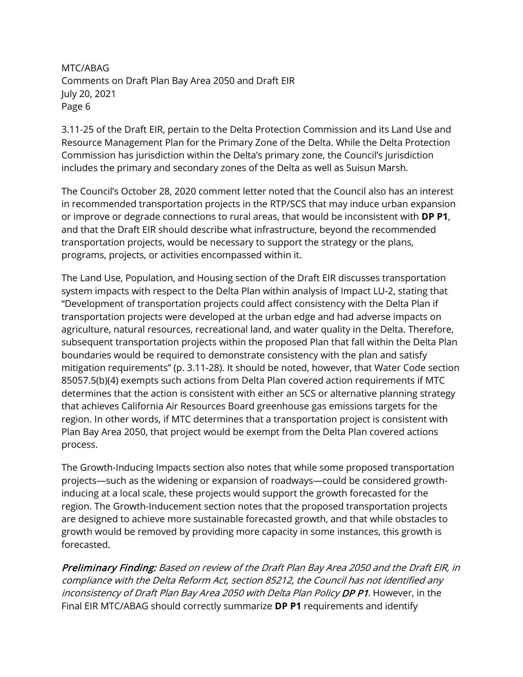3.11-25 of the Draft EIR, pertain to the Delta Protection Commission and its Land Use and Resource Management Plan for the Primary Zone of the Delta. While the Delta Protection Commission has jurisdiction within the Delta's primary zone, the Council's jurisdiction includes the primary and secondary zones of the Delta as well as Suisun Marsh.

The Council's October 28, 2020 comment letter noted that the Council also has an interest in recommended transportation projects in the RTP/SCS that may induce urban expansion or improve or degrade connections to rural areas, that would be inconsistent with **DP P1**, and that the Draft EIR should describe what infrastructure, beyond the recommended transportation projects, would be necessary to support the strategy or the plans, programs, projects, or activities encompassed within it.

The Land Use, Population, and Housing section of the Draft EIR discusses transportation system impacts with respect to the Delta Plan within analysis of Impact LU-2, stating that "Development of transportation projects could affect consistency with the Delta Plan if transportation projects were developed at the urban edge and had adverse impacts on agriculture, natural resources, recreational land, and water quality in the Delta. Therefore, subsequent transportation projects within the proposed Plan that fall within the Delta Plan boundaries would be required to demonstrate consistency with the plan and satisfy mitigation requirements" (p. 3.11-28). It should be noted, however, that Water Code section 85057.5(b)(4) exempts such actions from Delta Plan covered action requirements if MTC determines that the action is consistent with either an SCS or alternative planning strategy that achieves California Air Resources Board greenhouse gas emissions targets for the region. In other words, if MTC determines that a transportation project is consistent with Plan Bay Area 2050, that project would be exempt from the Delta Plan covered actions process.

The Growth-Inducing Impacts section also notes that while some proposed transportation projects—such as the widening or expansion of roadways—could be considered growthinducing at a local scale, these projects would support the growth forecasted for the region. The Growth-Inducement section notes that the proposed transportation projects are designed to achieve more sustainable forecasted growth, and that while obstacles to growth would be removed by providing more capacity in some instances, this growth is forecasted.

Preliminary Finding: Based on review of the Draft Plan Bay Area 2050 and the Draft EIR, in compliance with the Delta Reform Act, section 85212, the Council has not identified any inconsistency of Draft Plan Bay Area 2050 with Delta Plan Policy DP P1. However, in the Final EIR MTC/ABAG should correctly summarize **DP P1** requirements and identify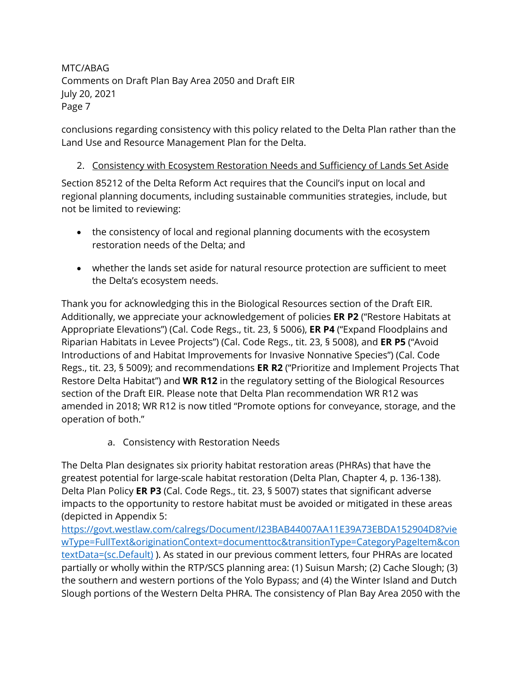conclusions regarding consistency with this policy related to the Delta Plan rather than the Land Use and Resource Management Plan for the Delta.

2. Consistency with Ecosystem Restoration Needs and Sufficiency of Lands Set Aside

Section 85212 of the Delta Reform Act requires that the Council's input on local and regional planning documents, including sustainable communities strategies, include, but not be limited to reviewing:

- the consistency of local and regional planning documents with the ecosystem restoration needs of the Delta; and
- whether the lands set aside for natural resource protection are sufficient to meet the Delta's ecosystem needs.

Thank you for acknowledging this in the Biological Resources section of the Draft EIR. Additionally, we appreciate your acknowledgement of policies **ER P2** ("Restore Habitats at Appropriate Elevations") (Cal. Code Regs., tit. 23, § 5006), **ER P4** ("Expand Floodplains and Riparian Habitats in Levee Projects") (Cal. Code Regs., tit. 23, § 5008), and **ER P5** ("Avoid Introductions of and Habitat Improvements for Invasive Nonnative Species") (Cal. Code Regs., tit. 23, § 5009); and recommendations **ER R2** ("Prioritize and Implement Projects That Restore Delta Habitat") and **WR R12** in the regulatory setting of the Biological Resources section of the Draft EIR. Please note that Delta Plan recommendation WR R12 was amended in 2018; WR R12 is now titled "Promote options for conveyance, storage, and the operation of both."

a. Consistency with Restoration Needs

The Delta Plan designates six priority habitat restoration areas (PHRAs) that have the greatest potential for large-scale habitat restoration (Delta Plan, Chapter 4, p. 136-138). Delta Plan Policy **ER P3** (Cal. Code Regs., tit. 23, § 5007) states that significant adverse impacts to the opportunity to restore habitat must be avoided or mitigated in these areas (depicted in Appendix 5:

[https://govt.westlaw.com/calregs/Document/I23BAB44007AA11E39A73EBDA152904D8?vie](https://govt.westlaw.com/calregs/Document/I23BAB44007AA11E39A73EBDA152904D8?viewType=FullText&originationContext=documenttoc&transitionType=CategoryPageItem&contextData=(sc.Default)) [wType=FullText&originationContext=documenttoc&transitionType=CategoryPageItem&con](https://govt.westlaw.com/calregs/Document/I23BAB44007AA11E39A73EBDA152904D8?viewType=FullText&originationContext=documenttoc&transitionType=CategoryPageItem&contextData=(sc.Default)) [textData=\(sc.Default\)](https://govt.westlaw.com/calregs/Document/I23BAB44007AA11E39A73EBDA152904D8?viewType=FullText&originationContext=documenttoc&transitionType=CategoryPageItem&contextData=(sc.Default)) ). As stated in our previous comment letters, four PHRAs are located partially or wholly within the RTP/SCS planning area: (1) Suisun Marsh; (2) Cache Slough; (3) the southern and western portions of the Yolo Bypass; and (4) the Winter Island and Dutch Slough portions of the Western Delta PHRA. The consistency of Plan Bay Area 2050 with the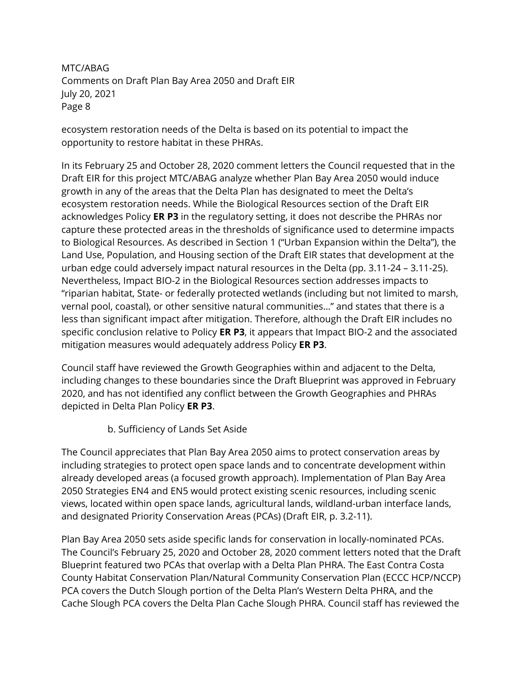ecosystem restoration needs of the Delta is based on its potential to impact the opportunity to restore habitat in these PHRAs.

In its February 25 and October 28, 2020 comment letters the Council requested that in the Draft EIR for this project MTC/ABAG analyze whether Plan Bay Area 2050 would induce growth in any of the areas that the Delta Plan has designated to meet the Delta's ecosystem restoration needs. While the Biological Resources section of the Draft EIR acknowledges Policy **ER P3** in the regulatory setting, it does not describe the PHRAs nor capture these protected areas in the thresholds of significance used to determine impacts to Biological Resources. As described in Section 1 ("Urban Expansion within the Delta"), the Land Use, Population, and Housing section of the Draft EIR states that development at the urban edge could adversely impact natural resources in the Delta (pp. 3.11-24 – 3.11-25). Nevertheless, Impact BIO-2 in the Biological Resources section addresses impacts to "riparian habitat, State- or federally protected wetlands (including but not limited to marsh, vernal pool, coastal), or other sensitive natural communities…" and states that there is a less than significant impact after mitigation. Therefore, although the Draft EIR includes no specific conclusion relative to Policy **ER P3**, it appears that Impact BIO-2 and the associated mitigation measures would adequately address Policy **ER P3**.

Council staff have reviewed the Growth Geographies within and adjacent to the Delta, including changes to these boundaries since the Draft Blueprint was approved in February 2020, and has not identified any conflict between the Growth Geographies and PHRAs depicted in Delta Plan Policy **ER P3**.

b. Sufficiency of Lands Set Aside

The Council appreciates that Plan Bay Area 2050 aims to protect conservation areas by including strategies to protect open space lands and to concentrate development within already developed areas (a focused growth approach). Implementation of Plan Bay Area 2050 Strategies EN4 and EN5 would protect existing scenic resources, including scenic views, located within open space lands, agricultural lands, wildland-urban interface lands, and designated Priority Conservation Areas (PCAs) (Draft EIR, p. 3.2-11).

Plan Bay Area 2050 sets aside specific lands for conservation in locally-nominated PCAs. The Council's February 25, 2020 and October 28, 2020 comment letters noted that the Draft Blueprint featured two PCAs that overlap with a Delta Plan PHRA. The East Contra Costa County Habitat Conservation Plan/Natural Community Conservation Plan (ECCC HCP/NCCP) PCA covers the Dutch Slough portion of the Delta Plan's Western Delta PHRA, and the Cache Slough PCA covers the Delta Plan Cache Slough PHRA. Council staff has reviewed the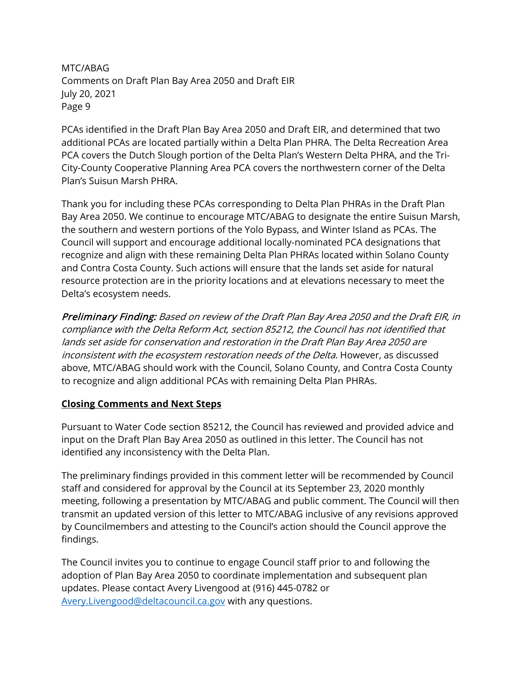PCAs identified in the Draft Plan Bay Area 2050 and Draft EIR, and determined that two additional PCAs are located partially within a Delta Plan PHRA. The Delta Recreation Area PCA covers the Dutch Slough portion of the Delta Plan's Western Delta PHRA, and the Tri-City-County Cooperative Planning Area PCA covers the northwestern corner of the Delta Plan's Suisun Marsh PHRA.

Thank you for including these PCAs corresponding to Delta Plan PHRAs in the Draft Plan Bay Area 2050. We continue to encourage MTC/ABAG to designate the entire Suisun Marsh, the southern and western portions of the Yolo Bypass, and Winter Island as PCAs. The Council will support and encourage additional locally-nominated PCA designations that recognize and align with these remaining Delta Plan PHRAs located within Solano County and Contra Costa County. Such actions will ensure that the lands set aside for natural resource protection are in the priority locations and at elevations necessary to meet the Delta's ecosystem needs.

Preliminary Finding: Based on review of the Draft Plan Bay Area 2050 and the Draft EIR, in compliance with the Delta Reform Act, section 85212, the Council has not identified that lands set aside for conservation and restoration in the Draft Plan Bay Area 2050 are inconsistent with the ecosystem restoration needs of the Delta. However, as discussed above, MTC/ABAG should work with the Council, Solano County, and Contra Costa County to recognize and align additional PCAs with remaining Delta Plan PHRAs.

## **Closing Comments and Next Steps**

Pursuant to Water Code section 85212, the Council has reviewed and provided advice and input on the Draft Plan Bay Area 2050 as outlined in this letter. The Council has not identified any inconsistency with the Delta Plan.

The preliminary findings provided in this comment letter will be recommended by Council staff and considered for approval by the Council at its September 23, 2020 monthly meeting, following a presentation by MTC/ABAG and public comment. The Council will then transmit an updated version of this letter to MTC/ABAG inclusive of any revisions approved by Councilmembers and attesting to the Council's action should the Council approve the findings.

The Council invites you to continue to engage Council staff prior to and following the adoption of Plan Bay Area 2050 to coordinate implementation and subsequent plan updates. Please contact Avery Livengood at (916) 445-0782 or [Avery.Livengood@deltacouncil.ca.gov](mailto:Avery.Livengood@deltacouncil.ca.gov) with any questions.